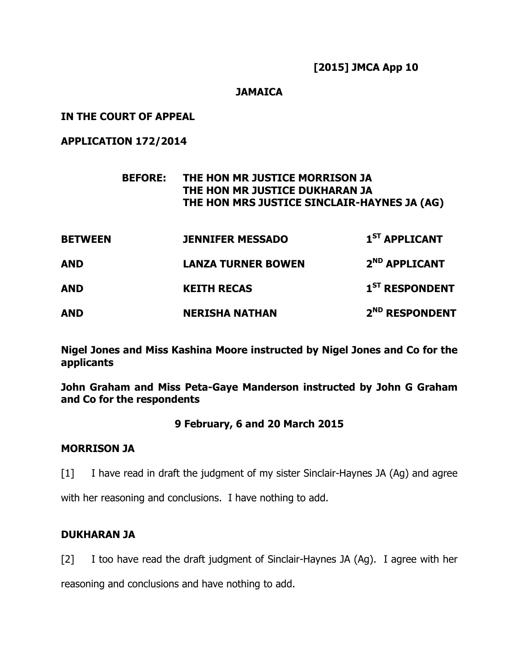## **[2015] JMCA App 10**

#### **JAMAICA**

**IN THE COURT OF APPEAL** 

**APPLICATION 172/2014** 

# **BEFORE: THE HON MR JUSTICE MORRISON JA THE HON MR JUSTICE DUKHARAN JA THE HON MRS JUSTICE SINCLAIR-HAYNES JA (AG)**

| <b>BETWEEN</b> | <b>JENNIFER MESSADO</b>   | 1 <sup>ST</sup> APPLICANT  |
|----------------|---------------------------|----------------------------|
| AND            | <b>LANZA TURNER BOWEN</b> | 2 <sup>ND</sup> APPLICANT  |
| AND            | <b>KEITH RECAS</b>        | 1 <sup>ST</sup> RESPONDENT |
| AND            | <b>NERISHA NATHAN</b>     | 2 <sup>ND</sup> RESPONDENT |

**Nigel Jones and Miss Kashina Moore instructed by Nigel Jones and Co for the applicants** 

**John Graham and Miss Peta-Gaye Manderson instructed by John G Graham and Co for the respondents** 

## **9 February, 6 and 20 March 2015**

## **MORRISON JA**

[1] I have read in draft the judgment of my sister Sinclair-Haynes JA (Ag) and agree

with her reasoning and conclusions. I have nothing to add.

## **DUKHARAN JA**

[2] I too have read the draft judgment of Sinclair-Haynes JA (Ag). I agree with her

reasoning and conclusions and have nothing to add.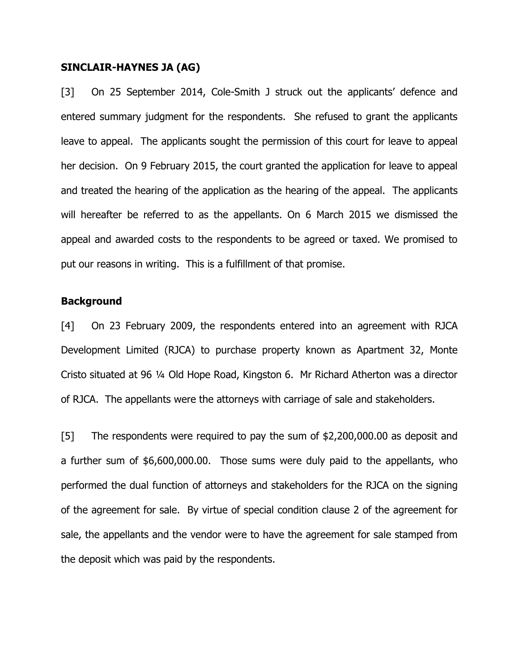#### **SINCLAIR-HAYNES JA (AG)**

[3] On 25 September 2014, Cole-Smith J struck out the applicants' defence and entered summary judgment for the respondents. She refused to grant the applicants leave to appeal. The applicants sought the permission of this court for leave to appeal her decision. On 9 February 2015, the court granted the application for leave to appeal and treated the hearing of the application as the hearing of the appeal. The applicants will hereafter be referred to as the appellants. On 6 March 2015 we dismissed the appeal and awarded costs to the respondents to be agreed or taxed. We promised to put our reasons in writing. This is a fulfillment of that promise.

#### **Background**

[4] On 23 February 2009, the respondents entered into an agreement with RJCA Development Limited (RJCA) to purchase property known as Apartment 32, Monte Cristo situated at 96 ¼ Old Hope Road, Kingston 6. Mr Richard Atherton was a director of RJCA. The appellants were the attorneys with carriage of sale and stakeholders.

[5] The respondents were required to pay the sum of \$2,200,000.00 as deposit and a further sum of \$6,600,000.00. Those sums were duly paid to the appellants, who performed the dual function of attorneys and stakeholders for the RJCA on the signing of the agreement for sale. By virtue of special condition clause 2 of the agreement for sale, the appellants and the vendor were to have the agreement for sale stamped from the deposit which was paid by the respondents.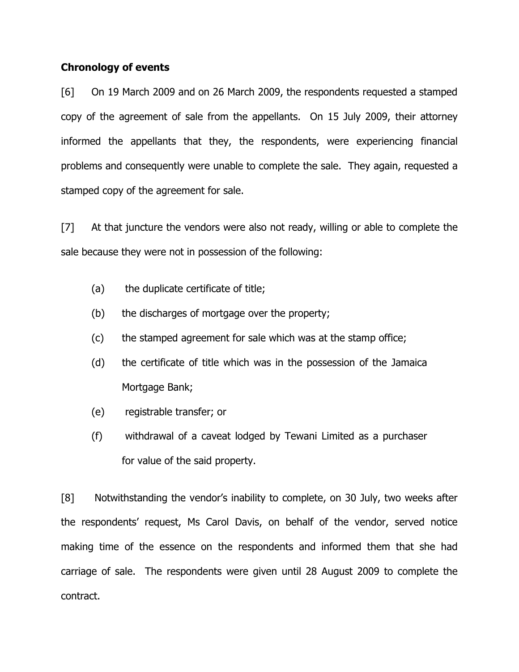#### **Chronology of events**

[6] On 19 March 2009 and on 26 March 2009, the respondents requested a stamped copy of the agreement of sale from the appellants. On 15 July 2009, their attorney informed the appellants that they, the respondents, were experiencing financial problems and consequently were unable to complete the sale. They again, requested a stamped copy of the agreement for sale.

[7] At that juncture the vendors were also not ready, willing or able to complete the sale because they were not in possession of the following:

- (a) the duplicate certificate of title;
- (b) the discharges of mortgage over the property;
- (c) the stamped agreement for sale which was at the stamp office;
- (d) the certificate of title which was in the possession of the Jamaica Mortgage Bank;
- (e) registrable transfer; or
- (f) withdrawal of a caveat lodged by Tewani Limited as a purchaser for value of the said property.

[8] Notwithstanding the vendor's inability to complete, on 30 July, two weeks after the respondents' request, Ms Carol Davis, on behalf of the vendor, served notice making time of the essence on the respondents and informed them that she had carriage of sale. The respondents were given until 28 August 2009 to complete the contract.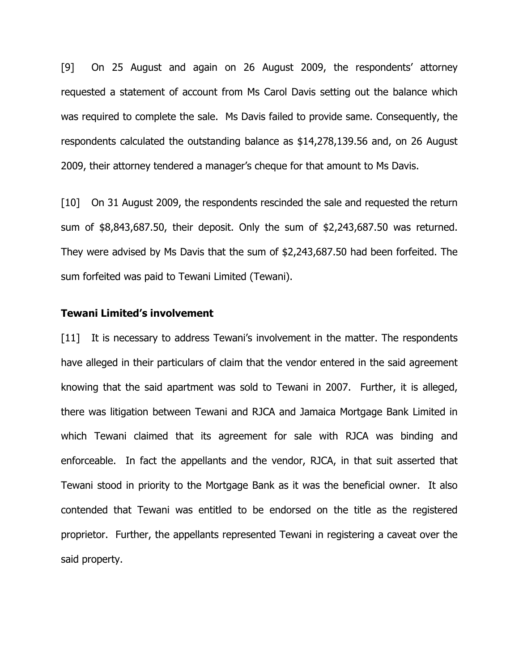[9] On 25 August and again on 26 August 2009, the respondents' attorney requested a statement of account from Ms Carol Davis setting out the balance which was required to complete the sale. Ms Davis failed to provide same. Consequently, the respondents calculated the outstanding balance as \$14,278,139.56 and, on 26 August 2009, their attorney tendered a manager's cheque for that amount to Ms Davis.

[10] On 31 August 2009, the respondents rescinded the sale and requested the return sum of \$8,843,687.50, their deposit. Only the sum of \$2,243,687.50 was returned. They were advised by Ms Davis that the sum of \$2,243,687.50 had been forfeited. The sum forfeited was paid to Tewani Limited (Tewani).

#### **Tewani Limited's involvement**

[11] It is necessary to address Tewani's involvement in the matter. The respondents have alleged in their particulars of claim that the vendor entered in the said agreement knowing that the said apartment was sold to Tewani in 2007. Further, it is alleged, there was litigation between Tewani and RJCA and Jamaica Mortgage Bank Limited in which Tewani claimed that its agreement for sale with RJCA was binding and enforceable. In fact the appellants and the vendor, RJCA, in that suit asserted that Tewani stood in priority to the Mortgage Bank as it was the beneficial owner. It also contended that Tewani was entitled to be endorsed on the title as the registered proprietor. Further, the appellants represented Tewani in registering a caveat over the said property.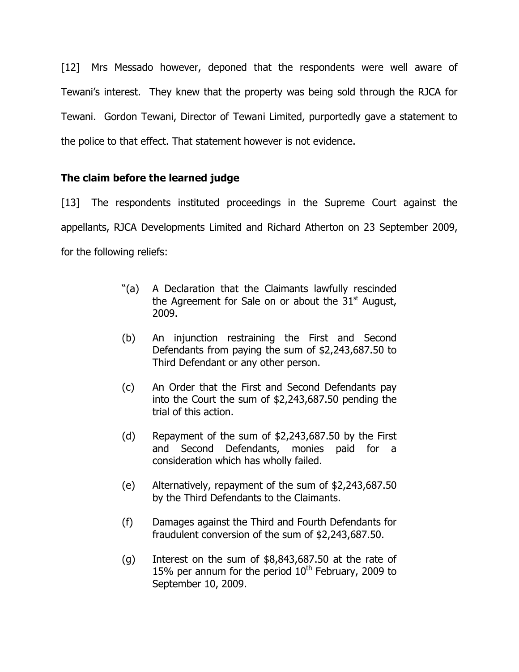[12] Mrs Messado however, deponed that the respondents were well aware of Tewani's interest. They knew that the property was being sold through the RJCA for Tewani. Gordon Tewani, Director of Tewani Limited, purportedly gave a statement to the police to that effect. That statement however is not evidence.

# **The claim before the learned judge**

[13] The respondents instituted proceedings in the Supreme Court against the appellants, RJCA Developments Limited and Richard Atherton on 23 September 2009, for the following reliefs:

- "(a) A Declaration that the Claimants lawfully rescinded the Agreement for Sale on or about the  $31<sup>st</sup>$  August, 2009.
- (b) An injunction restraining the First and Second Defendants from paying the sum of \$2,243,687.50 to Third Defendant or any other person.
- (c) An Order that the First and Second Defendants pay into the Court the sum of \$2,243,687.50 pending the trial of this action.
- (d) Repayment of the sum of \$2,243,687.50 by the First and Second Defendants, monies paid for a consideration which has wholly failed.
- (e) Alternatively, repayment of the sum of \$2,243,687.50 by the Third Defendants to the Claimants.
- (f) Damages against the Third and Fourth Defendants for fraudulent conversion of the sum of \$2,243,687.50.
- (g) Interest on the sum of \$8,843,687.50 at the rate of 15% per annum for the period  $10<sup>th</sup>$  February, 2009 to September 10, 2009.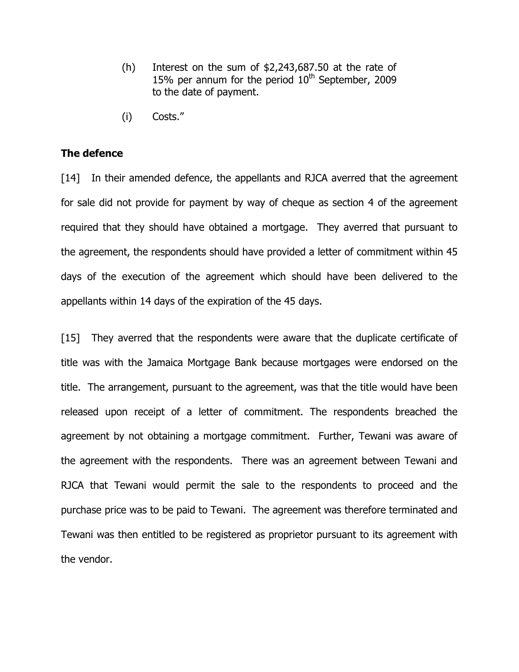- (h) Interest on the sum of \$2,243,687.50 at the rate of 15% per annum for the period  $10<sup>th</sup>$  September, 2009 to the date of payment.
- (i) Costs."

#### **The defence**

[14] In their amended defence, the appellants and RJCA averred that the agreement for sale did not provide for payment by way of cheque as section 4 of the agreement required that they should have obtained a mortgage. They averred that pursuant to the agreement, the respondents should have provided a letter of commitment within 45 days of the execution of the agreement which should have been delivered to the appellants within 14 days of the expiration of the 45 days.

[15] They averred that the respondents were aware that the duplicate certificate of title was with the Jamaica Mortgage Bank because mortgages were endorsed on the title. The arrangement, pursuant to the agreement, was that the title would have been released upon receipt of a letter of commitment. The respondents breached the agreement by not obtaining a mortgage commitment. Further, Tewani was aware of the agreement with the respondents. There was an agreement between Tewani and RJCA that Tewani would permit the sale to the respondents to proceed and the purchase price was to be paid to Tewani. The agreement was therefore terminated and Tewani was then entitled to be registered as proprietor pursuant to its agreement with the vendor.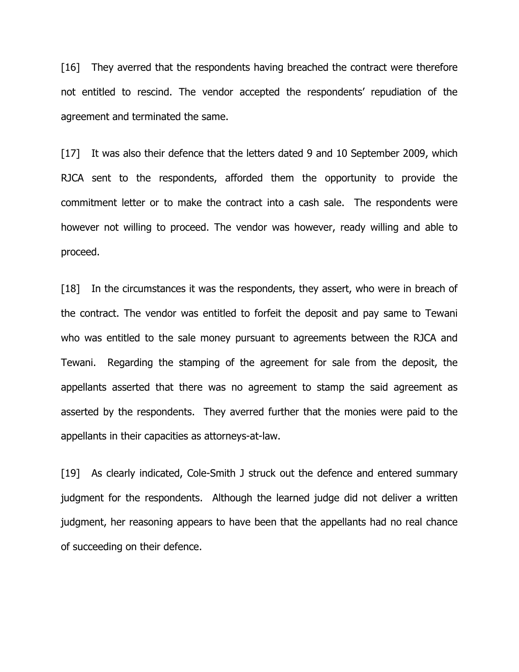[16] They averred that the respondents having breached the contract were therefore not entitled to rescind. The vendor accepted the respondents' repudiation of the agreement and terminated the same.

[17] It was also their defence that the letters dated 9 and 10 September 2009, which RJCA sent to the respondents, afforded them the opportunity to provide the commitment letter or to make the contract into a cash sale. The respondents were however not willing to proceed. The vendor was however, ready willing and able to proceed.

[18] In the circumstances it was the respondents, they assert, who were in breach of the contract. The vendor was entitled to forfeit the deposit and pay same to Tewani who was entitled to the sale money pursuant to agreements between the RJCA and Tewani. Regarding the stamping of the agreement for sale from the deposit, the appellants asserted that there was no agreement to stamp the said agreement as asserted by the respondents. They averred further that the monies were paid to the appellants in their capacities as attorneys-at-law.

[19] As clearly indicated, Cole-Smith J struck out the defence and entered summary judgment for the respondents. Although the learned judge did not deliver a written judgment, her reasoning appears to have been that the appellants had no real chance of succeeding on their defence.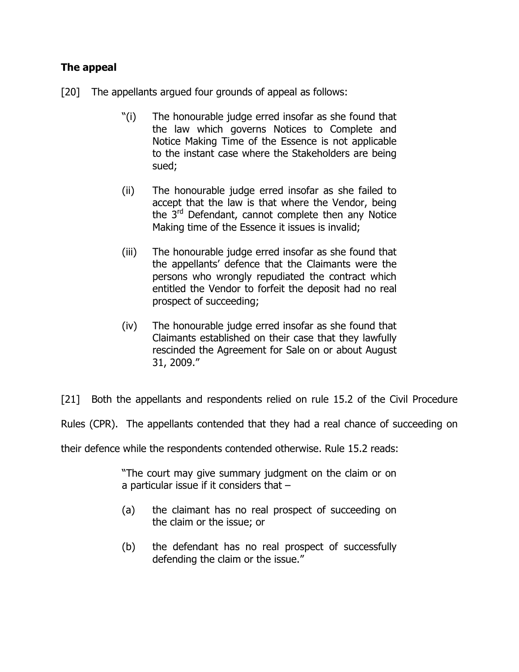# **The appeal**

- [20] The appellants argued four grounds of appeal as follows:
	- "(i) The honourable judge erred insofar as she found that the law which governs Notices to Complete and Notice Making Time of the Essence is not applicable to the instant case where the Stakeholders are being sued;
	- (ii) The honourable judge erred insofar as she failed to accept that the law is that where the Vendor, being the 3<sup>rd</sup> Defendant, cannot complete then any Notice Making time of the Essence it issues is invalid;
	- (iii) The honourable judge erred insofar as she found that the appellants' defence that the Claimants were the persons who wrongly repudiated the contract which entitled the Vendor to forfeit the deposit had no real prospect of succeeding;
	- (iv) The honourable judge erred insofar as she found that Claimants established on their case that they lawfully rescinded the Agreement for Sale on or about August 31, 2009."

[21] Both the appellants and respondents relied on rule 15.2 of the Civil Procedure

Rules (CPR). The appellants contended that they had a real chance of succeeding on

their defence while the respondents contended otherwise. Rule 15.2 reads:

"The court may give summary judgment on the claim or on a particular issue if it considers that –

- (a) the claimant has no real prospect of succeeding on the claim or the issue; or
- (b) the defendant has no real prospect of successfully defending the claim or the issue."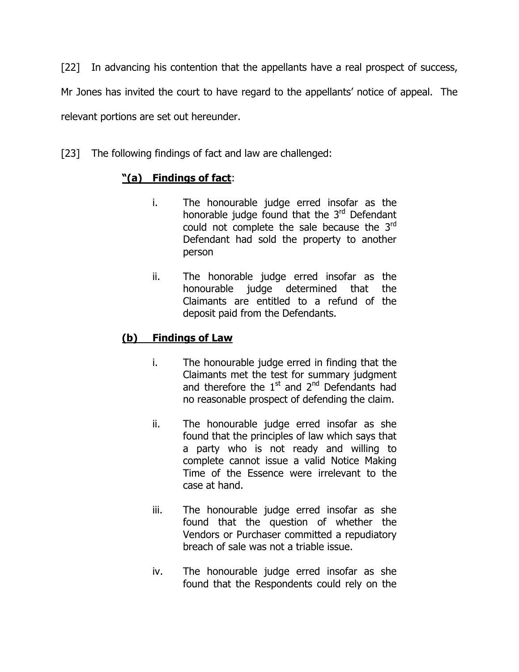[22] In advancing his contention that the appellants have a real prospect of success, Mr Jones has invited the court to have regard to the appellants' notice of appeal. The relevant portions are set out hereunder.

[23] The following findings of fact and law are challenged:

# **"(a) Findings of fact**:

- i. The honourable judge erred insofar as the honorable judge found that the  $3<sup>rd</sup>$  Defendant could not complete the sale because the 3rd Defendant had sold the property to another person
- ii. The honorable judge erred insofar as the honourable judge determined that the Claimants are entitled to a refund of the deposit paid from the Defendants.

# **(b) Findings of Law**

- i. The honourable judge erred in finding that the Claimants met the test for summary judgment and therefore the  $1^{st}$  and  $2^{nd}$  Defendants had no reasonable prospect of defending the claim.
- ii. The honourable judge erred insofar as she found that the principles of law which says that a party who is not ready and willing to complete cannot issue a valid Notice Making Time of the Essence were irrelevant to the case at hand.
- iii. The honourable judge erred insofar as she found that the question of whether the Vendors or Purchaser committed a repudiatory breach of sale was not a triable issue.
- iv. The honourable judge erred insofar as she found that the Respondents could rely on the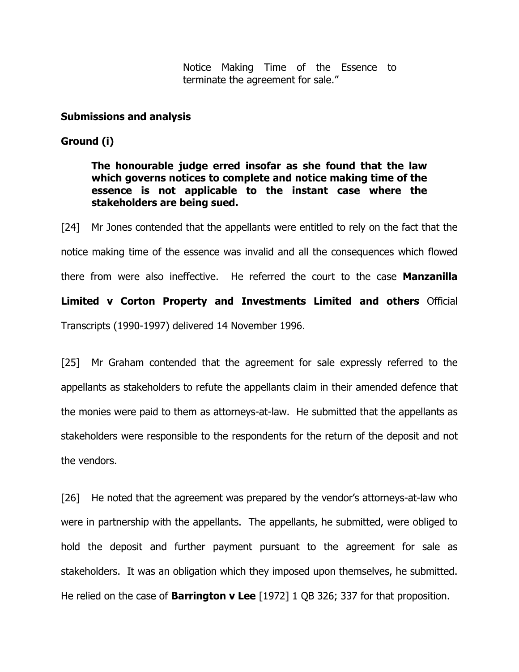Notice Making Time of the Essence to terminate the agreement for sale."

#### **Submissions and analysis**

#### **Ground (i)**

**The honourable judge erred insofar as she found that the law which governs notices to complete and notice making time of the essence is not applicable to the instant case where the stakeholders are being sued.** 

[24] Mr Jones contended that the appellants were entitled to rely on the fact that the notice making time of the essence was invalid and all the consequences which flowed there from were also ineffective. He referred the court to the case **Manzanilla Limited v Corton Property and Investments Limited and others** Official Transcripts (1990-1997) delivered 14 November 1996.

[25] Mr Graham contended that the agreement for sale expressly referred to the appellants as stakeholders to refute the appellants claim in their amended defence that the monies were paid to them as attorneys-at-law. He submitted that the appellants as stakeholders were responsible to the respondents for the return of the deposit and not the vendors.

[26] He noted that the agreement was prepared by the vendor's attorneys-at-law who were in partnership with the appellants. The appellants, he submitted, were obliged to hold the deposit and further payment pursuant to the agreement for sale as stakeholders. It was an obligation which they imposed upon themselves, he submitted. He relied on the case of **Barrington v Lee** [1972] 1 QB 326; 337 for that proposition.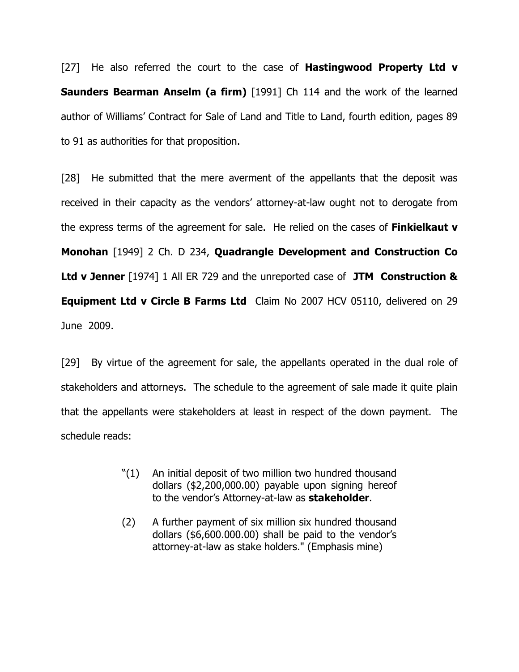[27] He also referred the court to the case of **Hastingwood Property Ltd v Saunders Bearman Anselm (a firm)** [1991] Ch 114 and the work of the learned author of Williams' Contract for Sale of Land and Title to Land, fourth edition, pages 89 to 91 as authorities for that proposition.

[28] He submitted that the mere averment of the appellants that the deposit was received in their capacity as the vendors' attorney-at-law ought not to derogate from the express terms of the agreement for sale. He relied on the cases of **Finkielkaut v Monohan** [1949] 2 Ch. D 234, **Quadrangle Development and Construction Co Ltd v Jenner** [1974] 1 All ER 729 and the unreported case of **JTM Construction & Equipment Ltd v Circle B Farms Ltd** Claim No 2007 HCV 05110, delivered on 29 June 2009.

[29] By virtue of the agreement for sale, the appellants operated in the dual role of stakeholders and attorneys. The schedule to the agreement of sale made it quite plain that the appellants were stakeholders at least in respect of the down payment. The schedule reads:

- "(1) An initial deposit of two million two hundred thousand dollars (\$2,200,000.00) payable upon signing hereof to the vendor's Attorney-at-law as **stakeholder**.
- (2) A further payment of six million six hundred thousand dollars (\$6,600.000.00) shall be paid to the vendor's attorney-at-law as stake holders." (Emphasis mine)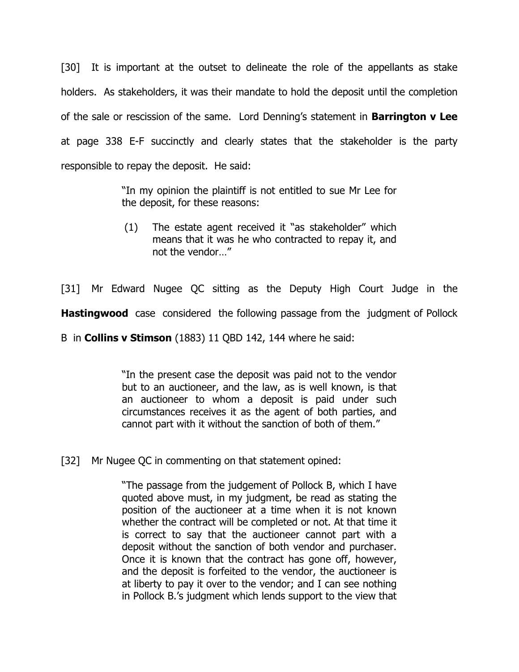[30] It is important at the outset to delineate the role of the appellants as stake holders. As stakeholders, it was their mandate to hold the deposit until the completion of the sale or rescission of the same. Lord Denning's statement in **Barrington v Lee** at page 338 E-F succinctly and clearly states that the stakeholder is the party responsible to repay the deposit. He said:

> "In my opinion the plaintiff is not entitled to sue Mr Lee for the deposit, for these reasons:

> (1) The estate agent received it "as stakeholder" which means that it was he who contracted to repay it, and not the vendor…"

[31] Mr Edward Nugee QC sitting as the Deputy High Court Judge in the **Hastingwood** case considered the following passage from the judgment of Pollock

B in **Collins v Stimson** (1883) 11 QBD 142, 144 where he said:

"In the present case the deposit was paid not to the vendor but to an auctioneer, and the law, as is well known, is that an auctioneer to whom a deposit is paid under such circumstances receives it as the agent of both parties, and cannot part with it without the sanction of both of them."

[32] Mr Nugee QC in commenting on that statement opined:

"The passage from the judgement of Pollock B, which I have quoted above must, in my judgment, be read as stating the position of the auctioneer at a time when it is not known whether the contract will be completed or not. At that time it is correct to say that the auctioneer cannot part with a deposit without the sanction of both vendor and purchaser. Once it is known that the contract has gone off, however, and the deposit is forfeited to the vendor, the auctioneer is at liberty to pay it over to the vendor; and I can see nothing in Pollock B.'s judgment which lends support to the view that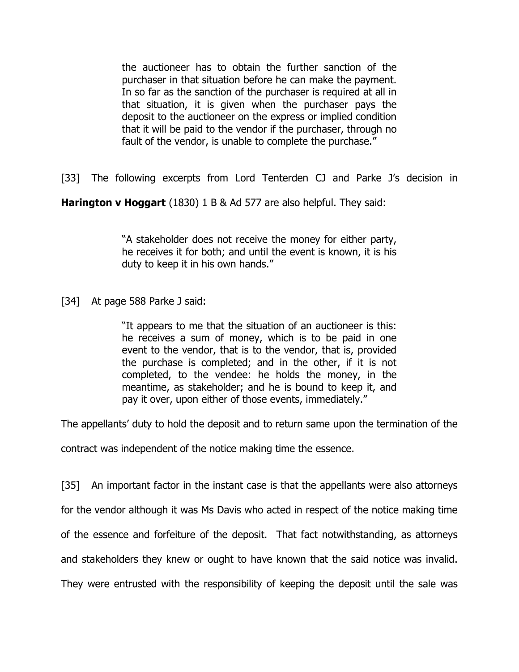the auctioneer has to obtain the further sanction of the purchaser in that situation before he can make the payment. In so far as the sanction of the purchaser is required at all in that situation, it is given when the purchaser pays the deposit to the auctioneer on the express or implied condition that it will be paid to the vendor if the purchaser, through no fault of the vendor, is unable to complete the purchase."

[33] The following excerpts from Lord Tenterden CJ and Parke J's decision in

**Harington v Hoggart** (1830) 1 B & Ad 577 are also helpful. They said:

"A stakeholder does not receive the money for either party, he receives it for both; and until the event is known, it is his duty to keep it in his own hands."

[34] At page 588 Parke J said:

"It appears to me that the situation of an auctioneer is this: he receives a sum of money, which is to be paid in one event to the vendor, that is to the vendor, that is, provided the purchase is completed; and in the other, if it is not completed, to the vendee: he holds the money, in the meantime, as stakeholder; and he is bound to keep it, and pay it over, upon either of those events, immediately."

The appellants' duty to hold the deposit and to return same upon the termination of the

contract was independent of the notice making time the essence.

[35] An important factor in the instant case is that the appellants were also attorneys for the vendor although it was Ms Davis who acted in respect of the notice making time of the essence and forfeiture of the deposit. That fact notwithstanding, as attorneys and stakeholders they knew or ought to have known that the said notice was invalid. They were entrusted with the responsibility of keeping the deposit until the sale was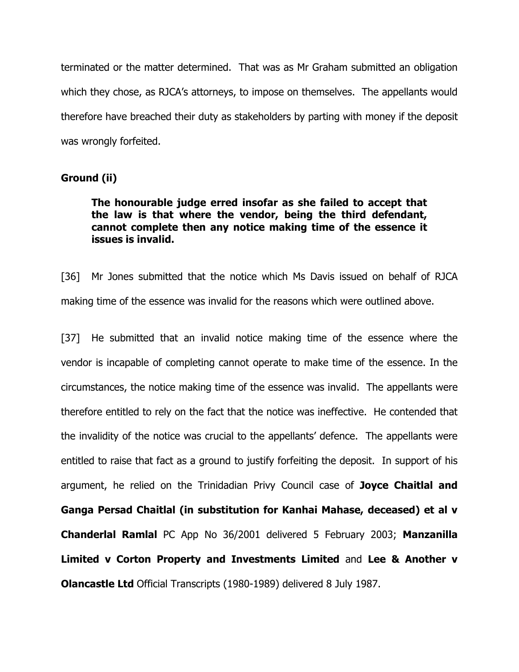terminated or the matter determined. That was as Mr Graham submitted an obligation which they chose, as RJCA's attorneys, to impose on themselves. The appellants would therefore have breached their duty as stakeholders by parting with money if the deposit was wrongly forfeited.

## **Ground (ii)**

## **The honourable judge erred insofar as she failed to accept that the law is that where the vendor, being the third defendant, cannot complete then any notice making time of the essence it issues is invalid.**

[36] Mr Jones submitted that the notice which Ms Davis issued on behalf of RJCA making time of the essence was invalid for the reasons which were outlined above.

[37] He submitted that an invalid notice making time of the essence where the vendor is incapable of completing cannot operate to make time of the essence. In the circumstances, the notice making time of the essence was invalid. The appellants were therefore entitled to rely on the fact that the notice was ineffective. He contended that the invalidity of the notice was crucial to the appellants' defence. The appellants were entitled to raise that fact as a ground to justify forfeiting the deposit. In support of his argument, he relied on the Trinidadian Privy Council case of **Joyce Chaitlal and Ganga Persad Chaitlal (in substitution for Kanhai Mahase, deceased) et al v Chanderlal Ramlal** PC App No 36/2001 delivered 5 February 2003; **Manzanilla Limited v Corton Property and Investments Limited** and **Lee & Another v Olancastle Ltd** Official Transcripts (1980-1989) delivered 8 July 1987.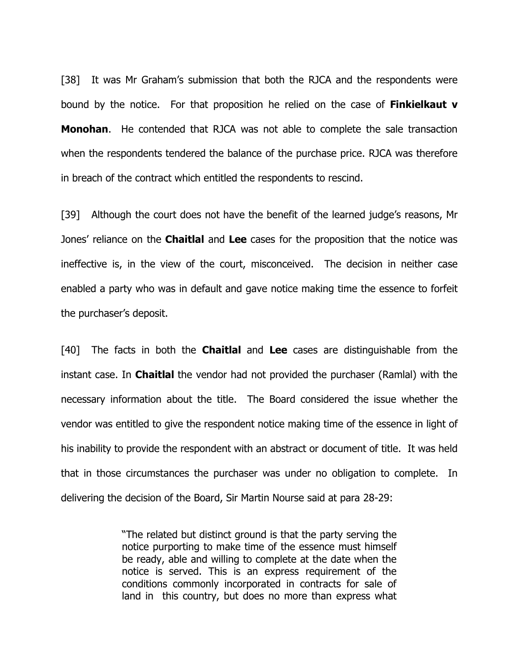[38] It was Mr Graham's submission that both the RJCA and the respondents were bound by the notice. For that proposition he relied on the case of **Finkielkaut v Monohan**. He contended that RJCA was not able to complete the sale transaction when the respondents tendered the balance of the purchase price. RJCA was therefore in breach of the contract which entitled the respondents to rescind.

[39] Although the court does not have the benefit of the learned judge's reasons, Mr Jones' reliance on the **Chaitlal** and **Lee** cases for the proposition that the notice was ineffective is, in the view of the court, misconceived. The decision in neither case enabled a party who was in default and gave notice making time the essence to forfeit the purchaser's deposit.

[40] The facts in both the **Chaitlal** and **Lee** cases are distinguishable from the instant case. In **Chaitlal** the vendor had not provided the purchaser (Ramlal) with the necessary information about the title. The Board considered the issue whether the vendor was entitled to give the respondent notice making time of the essence in light of his inability to provide the respondent with an abstract or document of title. It was held that in those circumstances the purchaser was under no obligation to complete. In delivering the decision of the Board, Sir Martin Nourse said at para 28-29:

> "The related but distinct ground is that the party serving the notice purporting to make time of the essence must himself be ready, able and willing to complete at the date when the notice is served. This is an express requirement of the conditions commonly incorporated in contracts for sale of land in this country, but does no more than express what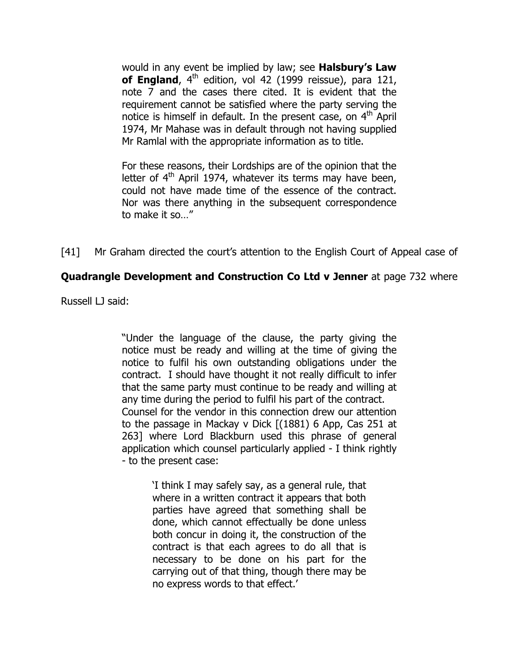would in any event be implied by law; see **Halsbury's Law of England**, 4<sup>th</sup> edition, vol 42 (1999 reissue), para 121, note 7 and the cases there cited. It is evident that the requirement cannot be satisfied where the party serving the notice is himself in default. In the present case, on  $4<sup>th</sup>$  April 1974, Mr Mahase was in default through not having supplied Mr Ramlal with the appropriate information as to title.

For these reasons, their Lordships are of the opinion that the letter of  $4<sup>th</sup>$  April 1974, whatever its terms may have been, could not have made time of the essence of the contract. Nor was there anything in the subsequent correspondence to make it so…"

[41] Mr Graham directed the court's attention to the English Court of Appeal case of

# **Quadrangle Development and Construction Co Ltd v Jenner** at page 732 where

Russell LJ said:

"Under the language of the clause, the party giving the notice must be ready and willing at the time of giving the notice to fulfil his own outstanding obligations under the contract. I should have thought it not really difficult to infer that the same party must continue to be ready and willing at any time during the period to fulfil his part of the contract. Counsel for the vendor in this connection drew our attention to the passage in Mackay v Dick [(1881) 6 App, Cas 251 at 263] where Lord Blackburn used this phrase of general application which counsel particularly applied - I think rightly - to the present case:

> 'I think I may safely say, as a general rule, that where in a written contract it appears that both parties have agreed that something shall be done, which cannot effectually be done unless both concur in doing it, the construction of the contract is that each agrees to do all that is necessary to be done on his part for the carrying out of that thing, though there may be no express words to that effect.'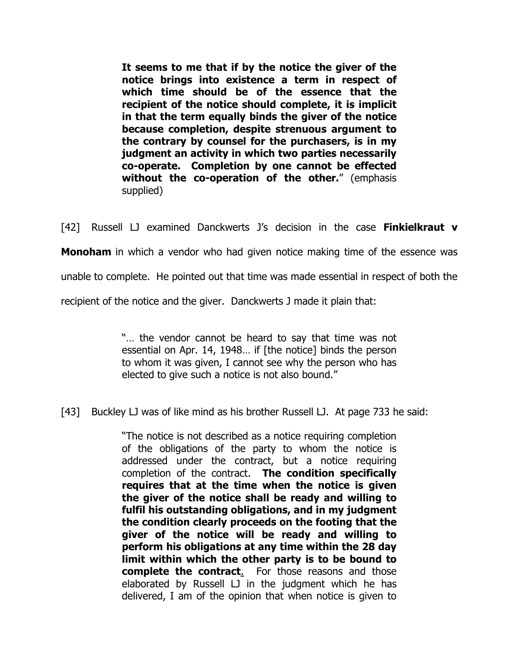**It seems to me that if by the notice the giver of the notice brings into existence a term in respect of which time should be of the essence that the recipient of the notice should complete, it is implicit in that the term equally binds the giver of the notice because completion, despite strenuous argument to the contrary by counsel for the purchasers, is in my judgment an activity in which two parties necessarily co-operate. Completion by one cannot be effected without the co-operation of the other.**" (emphasis supplied)

[42] Russell LJ examined Danckwerts J's decision in the case **Finkielkraut v** 

**Monoham** in which a vendor who had given notice making time of the essence was

unable to complete. He pointed out that time was made essential in respect of both the

recipient of the notice and the giver. Danckwerts J made it plain that:

"… the vendor cannot be heard to say that time was not essential on Apr. 14, 1948… if [the notice] binds the person to whom it was given, I cannot see why the person who has elected to give such a notice is not also bound."

[43] Buckley LJ was of like mind as his brother Russell LJ. At page 733 he said:

"The notice is not described as a notice requiring completion of the obligations of the party to whom the notice is addressed under the contract, but a notice requiring completion of the contract. **The condition specifically requires that at the time when the notice is given the giver of the notice shall be ready and willing to fulfil his outstanding obligations, and in my judgment the condition clearly proceeds on the footing that the giver of the notice will be ready and willing to perform his obligations at any time within the 28 day limit within which the other party is to be bound to complete the contract**. For those reasons and those elaborated by Russell LJ in the judgment which he has delivered, I am of the opinion that when notice is given to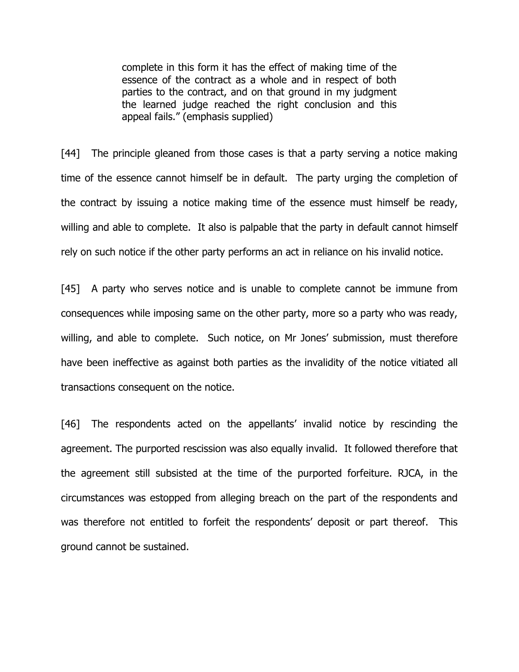complete in this form it has the effect of making time of the essence of the contract as a whole and in respect of both parties to the contract, and on that ground in my judgment the learned judge reached the right conclusion and this appeal fails." (emphasis supplied)

[44] The principle gleaned from those cases is that a party serving a notice making time of the essence cannot himself be in default. The party urging the completion of the contract by issuing a notice making time of the essence must himself be ready, willing and able to complete. It also is palpable that the party in default cannot himself rely on such notice if the other party performs an act in reliance on his invalid notice.

[45] A party who serves notice and is unable to complete cannot be immune from consequences while imposing same on the other party, more so a party who was ready, willing, and able to complete. Such notice, on Mr Jones' submission, must therefore have been ineffective as against both parties as the invalidity of the notice vitiated all transactions consequent on the notice.

[46] The respondents acted on the appellants' invalid notice by rescinding the agreement. The purported rescission was also equally invalid. It followed therefore that the agreement still subsisted at the time of the purported forfeiture. RJCA, in the circumstances was estopped from alleging breach on the part of the respondents and was therefore not entitled to forfeit the respondents' deposit or part thereof. This ground cannot be sustained.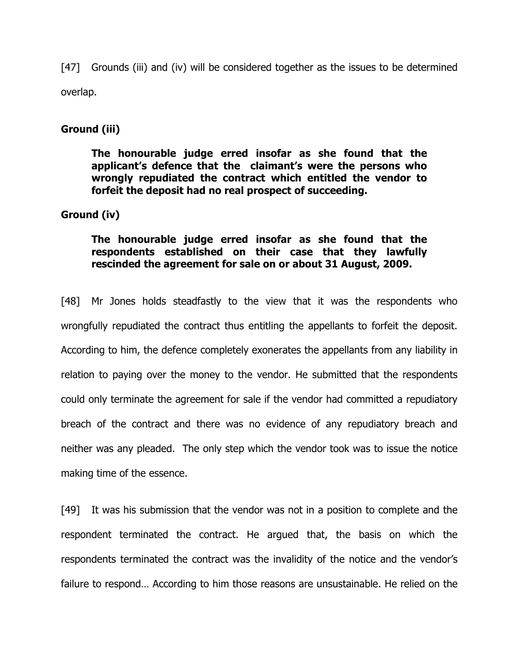[47] Grounds (iii) and (iv) will be considered together as the issues to be determined overlap.

#### **Ground (iii)**

**The honourable judge erred insofar as she found that the applicant's defence that the claimant's were the persons who wrongly repudiated the contract which entitled the vendor to forfeit the deposit had no real prospect of succeeding.** 

#### **Ground (iv)**

## **The honourable judge erred insofar as she found that the respondents established on their case that they lawfully rescinded the agreement for sale on or about 31 August, 2009.**

[48] Mr Jones holds steadfastly to the view that it was the respondents who wrongfully repudiated the contract thus entitling the appellants to forfeit the deposit. According to him, the defence completely exonerates the appellants from any liability in relation to paying over the money to the vendor. He submitted that the respondents could only terminate the agreement for sale if the vendor had committed a repudiatory breach of the contract and there was no evidence of any repudiatory breach and neither was any pleaded. The only step which the vendor took was to issue the notice making time of the essence.

[49] It was his submission that the vendor was not in a position to complete and the respondent terminated the contract. He argued that, the basis on which the respondents terminated the contract was the invalidity of the notice and the vendor's failure to respond… According to him those reasons are unsustainable. He relied on the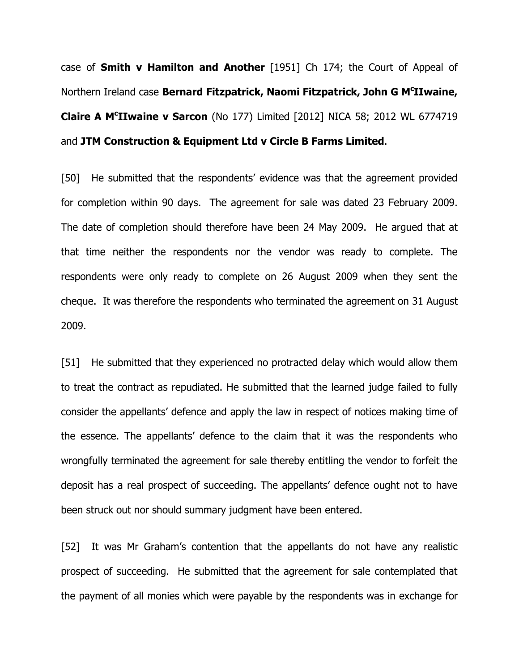case of **Smith v Hamilton and Another** [1951] Ch 174; the Court of Appeal of Northern Ireland case **Bernard Fitzpatrick, Naomi Fitzpatrick, John G M<sup>c</sup> IIwaine, Claire A M<sup>c</sup> IIwaine v Sarcon** (No 177) Limited [2012] NICA 58; 2012 WL 6774719 and **JTM Construction & Equipment Ltd v Circle B Farms Limited**.

[50] He submitted that the respondents' evidence was that the agreement provided for completion within 90 days. The agreement for sale was dated 23 February 2009. The date of completion should therefore have been 24 May 2009. He argued that at that time neither the respondents nor the vendor was ready to complete. The respondents were only ready to complete on 26 August 2009 when they sent the cheque. It was therefore the respondents who terminated the agreement on 31 August 2009.

[51] He submitted that they experienced no protracted delay which would allow them to treat the contract as repudiated. He submitted that the learned judge failed to fully consider the appellants' defence and apply the law in respect of notices making time of the essence. The appellants' defence to the claim that it was the respondents who wrongfully terminated the agreement for sale thereby entitling the vendor to forfeit the deposit has a real prospect of succeeding. The appellants' defence ought not to have been struck out nor should summary judgment have been entered.

[52] It was Mr Graham's contention that the appellants do not have any realistic prospect of succeeding. He submitted that the agreement for sale contemplated that the payment of all monies which were payable by the respondents was in exchange for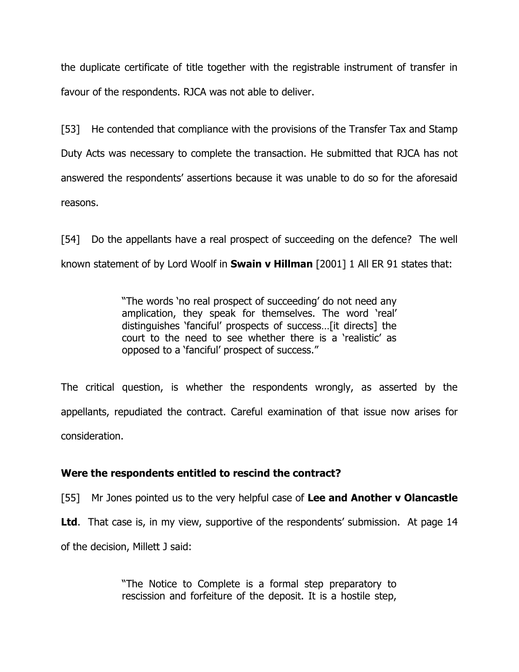the duplicate certificate of title together with the registrable instrument of transfer in favour of the respondents. RJCA was not able to deliver.

[53] He contended that compliance with the provisions of the Transfer Tax and Stamp Duty Acts was necessary to complete the transaction. He submitted that RJCA has not answered the respondents' assertions because it was unable to do so for the aforesaid reasons.

[54] Do the appellants have a real prospect of succeeding on the defence? The well known statement of by Lord Woolf in **Swain v Hillman** [2001] 1 All ER 91 states that:

> "The words 'no real prospect of succeeding' do not need any amplication, they speak for themselves. The word 'real' distinguishes 'fanciful' prospects of success…[it directs] the court to the need to see whether there is a 'realistic' as opposed to a 'fanciful' prospect of success."

The critical question, is whether the respondents wrongly, as asserted by the appellants, repudiated the contract. Careful examination of that issue now arises for consideration.

## **Were the respondents entitled to rescind the contract?**

[55] Mr Jones pointed us to the very helpful case of **Lee and Another v Olancastle** 

**Ltd.** That case is, in my view, supportive of the respondents' submission. At page 14

of the decision, Millett J said:

"The Notice to Complete is a formal step preparatory to rescission and forfeiture of the deposit. It is a hostile step,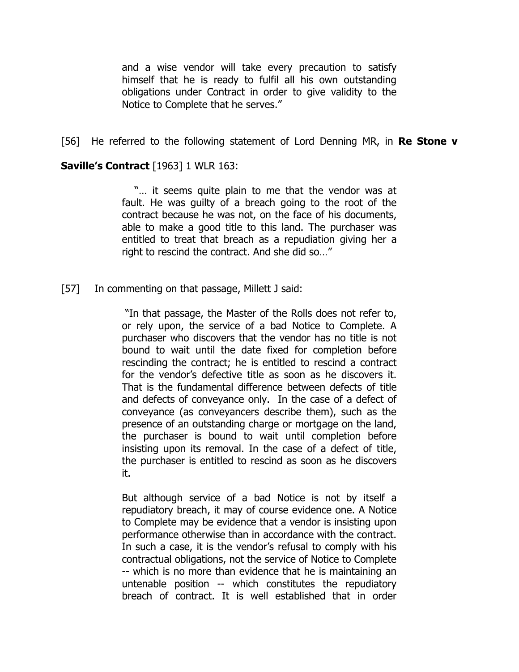and a wise vendor will take every precaution to satisfy himself that he is ready to fulfil all his own outstanding obligations under Contract in order to give validity to the Notice to Complete that he serves."

[56] He referred to the following statement of Lord Denning MR, in **Re Stone v** 

#### **Saville's Contract** [1963] 1 WLR 163:

 "… it seems quite plain to me that the vendor was at fault. He was guilty of a breach going to the root of the contract because he was not, on the face of his documents, able to make a good title to this land. The purchaser was entitled to treat that breach as a repudiation giving her a right to rescind the contract. And she did so…"

[57] In commenting on that passage, Millett J said:

 "In that passage, the Master of the Rolls does not refer to, or rely upon, the service of a bad Notice to Complete. A purchaser who discovers that the vendor has no title is not bound to wait until the date fixed for completion before rescinding the contract; he is entitled to rescind a contract for the vendor's defective title as soon as he discovers it. That is the fundamental difference between defects of title and defects of conveyance only. In the case of a defect of conveyance (as conveyancers describe them), such as the presence of an outstanding charge or mortgage on the land, the purchaser is bound to wait until completion before insisting upon its removal. In the case of a defect of title, the purchaser is entitled to rescind as soon as he discovers it.

But although service of a bad Notice is not by itself a repudiatory breach, it may of course evidence one. A Notice to Complete may be evidence that a vendor is insisting upon performance otherwise than in accordance with the contract. In such a case, it is the vendor's refusal to comply with his contractual obligations, not the service of Notice to Complete -- which is no more than evidence that he is maintaining an untenable position -- which constitutes the repudiatory breach of contract. It is well established that in order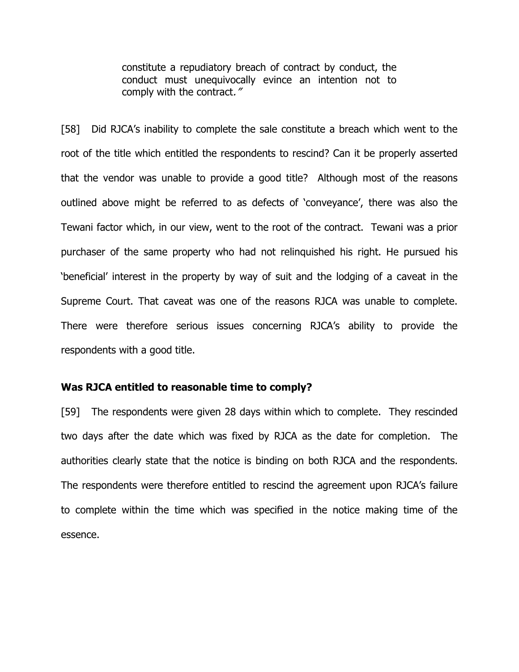constitute a repudiatory breach of contract by conduct, the conduct must unequivocally evince an intention not to comply with the contract."

[58] Did RJCA's inability to complete the sale constitute a breach which went to the root of the title which entitled the respondents to rescind? Can it be properly asserted that the vendor was unable to provide a good title? Although most of the reasons outlined above might be referred to as defects of 'conveyance', there was also the Tewani factor which, in our view, went to the root of the contract. Tewani was a prior purchaser of the same property who had not relinquished his right. He pursued his 'beneficial' interest in the property by way of suit and the lodging of a caveat in the Supreme Court. That caveat was one of the reasons RJCA was unable to complete. There were therefore serious issues concerning RJCA's ability to provide the respondents with a good title.

#### **Was RJCA entitled to reasonable time to comply?**

[59] The respondents were given 28 days within which to complete. They rescinded two days after the date which was fixed by RJCA as the date for completion. The authorities clearly state that the notice is binding on both RJCA and the respondents. The respondents were therefore entitled to rescind the agreement upon RJCA's failure to complete within the time which was specified in the notice making time of the essence.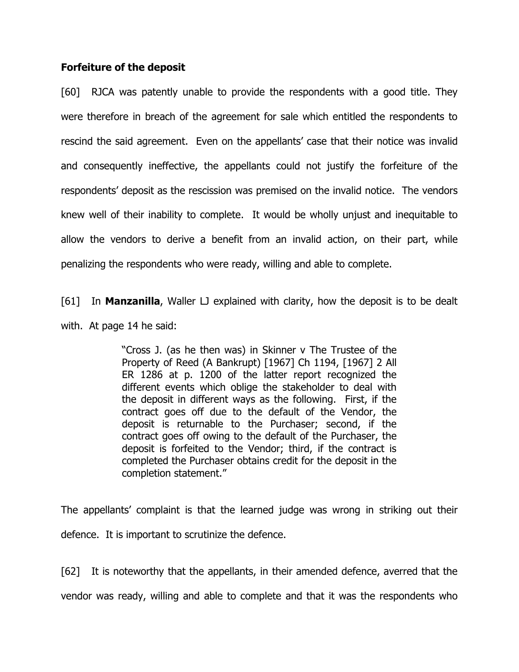#### **Forfeiture of the deposit**

[60] RJCA was patently unable to provide the respondents with a good title. They were therefore in breach of the agreement for sale which entitled the respondents to rescind the said agreement. Even on the appellants' case that their notice was invalid and consequently ineffective, the appellants could not justify the forfeiture of the respondents' deposit as the rescission was premised on the invalid notice. The vendors knew well of their inability to complete. It would be wholly unjust and inequitable to allow the vendors to derive a benefit from an invalid action, on their part, while penalizing the respondents who were ready, willing and able to complete.

[61] In **Manzanilla**, Waller LJ explained with clarity, how the deposit is to be dealt with. At page 14 he said:

> "Cross J. (as he then was) in Skinner v The Trustee of the Property of Reed (A Bankrupt) [1967] Ch 1194, [1967] 2 All ER 1286 at p. 1200 of the latter report recognized the different events which oblige the stakeholder to deal with the deposit in different ways as the following. First, if the contract goes off due to the default of the Vendor, the deposit is returnable to the Purchaser; second, if the contract goes off owing to the default of the Purchaser, the deposit is forfeited to the Vendor; third, if the contract is completed the Purchaser obtains credit for the deposit in the completion statement."

The appellants' complaint is that the learned judge was wrong in striking out their defence. It is important to scrutinize the defence.

[62] It is noteworthy that the appellants, in their amended defence, averred that the vendor was ready, willing and able to complete and that it was the respondents who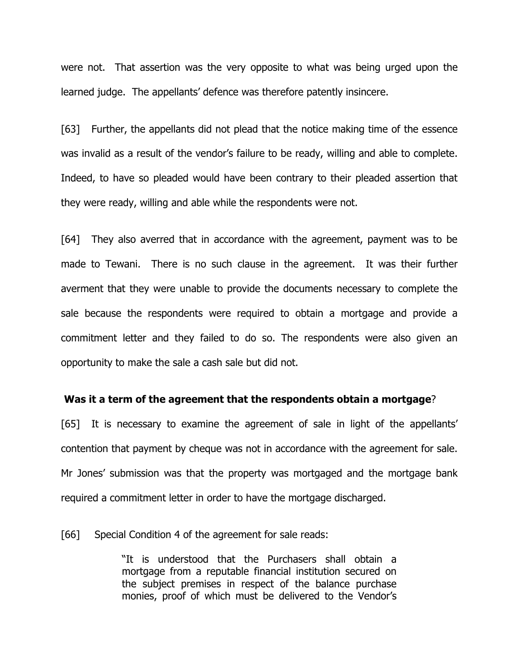were not. That assertion was the very opposite to what was being urged upon the learned judge. The appellants' defence was therefore patently insincere.

[63] Further, the appellants did not plead that the notice making time of the essence was invalid as a result of the vendor's failure to be ready, willing and able to complete. Indeed, to have so pleaded would have been contrary to their pleaded assertion that they were ready, willing and able while the respondents were not.

[64] They also averred that in accordance with the agreement, payment was to be made to Tewani. There is no such clause in the agreement. It was their further averment that they were unable to provide the documents necessary to complete the sale because the respondents were required to obtain a mortgage and provide a commitment letter and they failed to do so. The respondents were also given an opportunity to make the sale a cash sale but did not.

#### **Was it a term of the agreement that the respondents obtain a mortgage**?

[65] It is necessary to examine the agreement of sale in light of the appellants' contention that payment by cheque was not in accordance with the agreement for sale. Mr Jones' submission was that the property was mortgaged and the mortgage bank required a commitment letter in order to have the mortgage discharged.

[66] Special Condition 4 of the agreement for sale reads:

"It is understood that the Purchasers shall obtain a mortgage from a reputable financial institution secured on the subject premises in respect of the balance purchase monies, proof of which must be delivered to the Vendor's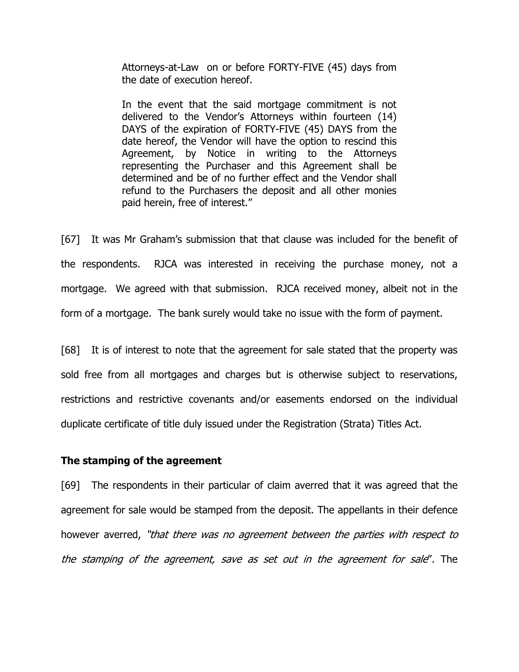Attorneys-at-Law on or before FORTY-FIVE (45) days from the date of execution hereof.

In the event that the said mortgage commitment is not delivered to the Vendor's Attorneys within fourteen (14) DAYS of the expiration of FORTY-FIVE (45) DAYS from the date hereof, the Vendor will have the option to rescind this Agreement, by Notice in writing to the Attorneys representing the Purchaser and this Agreement shall be determined and be of no further effect and the Vendor shall refund to the Purchasers the deposit and all other monies paid herein, free of interest."

[67] It was Mr Graham's submission that that clause was included for the benefit of the respondents. RJCA was interested in receiving the purchase money, not a mortgage. We agreed with that submission. RJCA received money, albeit not in the form of a mortgage. The bank surely would take no issue with the form of payment.

[68] It is of interest to note that the agreement for sale stated that the property was sold free from all mortgages and charges but is otherwise subject to reservations, restrictions and restrictive covenants and/or easements endorsed on the individual duplicate certificate of title duly issued under the Registration (Strata) Titles Act.

#### **The stamping of the agreement**

[69] The respondents in their particular of claim averred that it was agreed that the agreement for sale would be stamped from the deposit. The appellants in their defence however averred, "that there was no agreement between the parties with respect to the stamping of the agreement, save as set out in the agreement for sale". The